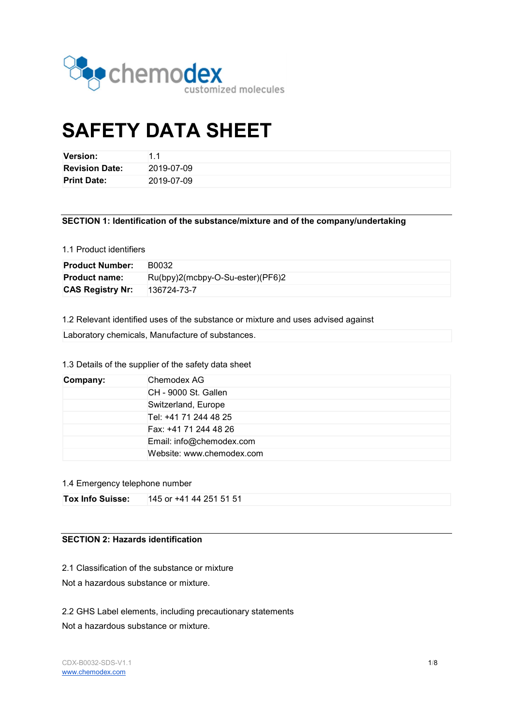

# SAFETY DATA SHEET

| <b>Version:</b>       | 11         |
|-----------------------|------------|
| <b>Revision Date:</b> | 2019-07-09 |
| <b>Print Date:</b>    | 2019-07-09 |

### SECTION 1: Identification of the substance/mixture and of the company/undertaking

# 1.1 Product identifiers

| <b>Product Number:</b>  | B0032                            |
|-------------------------|----------------------------------|
| <b>Product name:</b>    | Ru(bpy)2(mcbpy-O-Su-ester)(PF6)2 |
| <b>CAS Registry Nr:</b> | 136724-73-7                      |

1.2 Relevant identified uses of the substance or mixture and uses advised against

Laboratory chemicals, Manufacture of substances.

# 1.3 Details of the supplier of the safety data sheet

| Company: | Chemodex AG               |
|----------|---------------------------|
|          | CH - 9000 St. Gallen      |
|          | Switzerland, Europe       |
|          | Tel: +41 71 244 48 25     |
|          | Fax: +41 71 244 48 26     |
|          | Email: info@chemodex.com  |
|          | Website: www.chemodex.com |

#### 1.4 Emergency telephone number

# SECTION 2: Hazards identification

2.1 Classification of the substance or mixture

Not a hazardous substance or mixture.

2.2 GHS Label elements, including precautionary statements

Not a hazardous substance or mixture.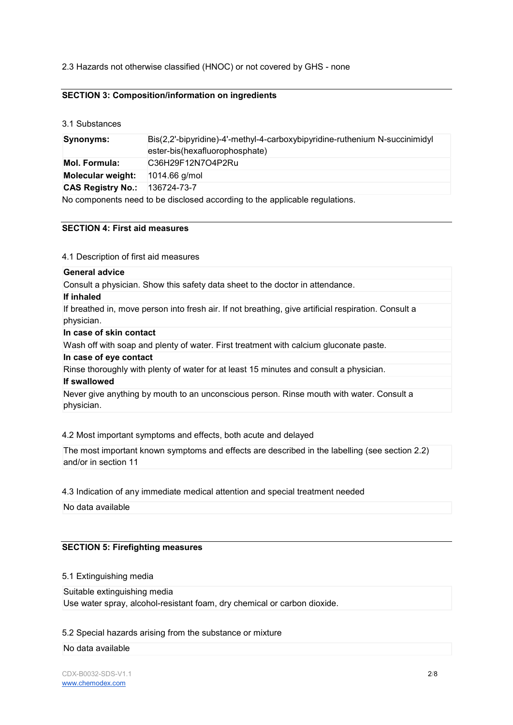# 2.3 Hazards not otherwise classified (HNOC) or not covered by GHS - none

# SECTION 3: Composition/information on ingredients

3.1 Substances

| Synonyms:                | Bis(2,2'-bipyridine)-4'-methyl-4-carboxybipyridine-ruthenium N-succinimidyl<br>ester-bis(hexafluorophosphate) |
|--------------------------|---------------------------------------------------------------------------------------------------------------|
| <b>Mol. Formula:</b>     | C36H29F12N7O4P2Ru                                                                                             |
| Molecular weight:        | $1014.66$ g/mol                                                                                               |
| <b>CAS Registry No.:</b> | 136724-73-7                                                                                                   |
|                          | No components need to be disclosed according to the applicable regulations.                                   |

## SECTION 4: First aid measures

4.1 Description of first aid measures

#### General advice

Consult a physician. Show this safety data sheet to the doctor in attendance.

If inhaled

If breathed in, move person into fresh air. If not breathing, give artificial respiration. Consult a physician.

#### In case of skin contact

Wash off with soap and plenty of water. First treatment with calcium gluconate paste.

#### In case of eye contact

Rinse thoroughly with plenty of water for at least 15 minutes and consult a physician.

# If swallowed

Never give anything by mouth to an unconscious person. Rinse mouth with water. Consult a physician.

#### 4.2 Most important symptoms and effects, both acute and delayed

The most important known symptoms and effects are described in the labelling (see section 2.2) and/or in section 11

#### 4.3 Indication of any immediate medical attention and special treatment needed

No data available

#### SECTION 5: Firefighting measures

5.1 Extinguishing media

Suitable extinguishing media Use water spray, alcohol-resistant foam, dry chemical or carbon dioxide.

5.2 Special hazards arising from the substance or mixture

#### No data available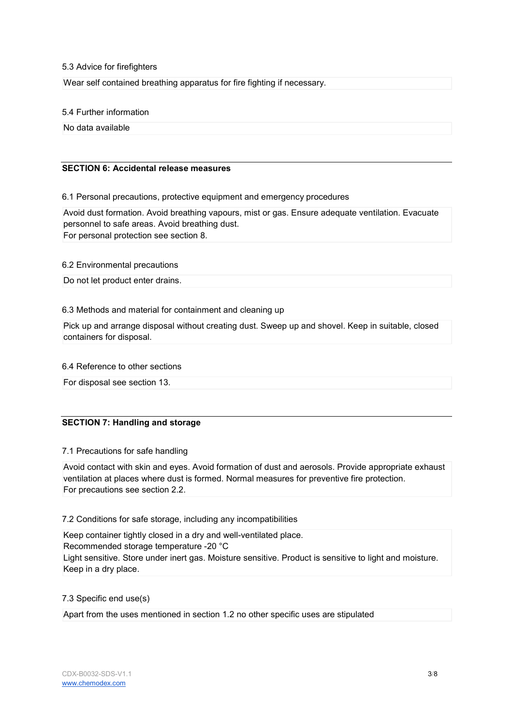#### 5.3 Advice for firefighters

Wear self contained breathing apparatus for fire fighting if necessary.

#### 5.4 Further information

No data available

# SECTION 6: Accidental release measures

# 6.1 Personal precautions, protective equipment and emergency procedures

Avoid dust formation. Avoid breathing vapours, mist or gas. Ensure adequate ventilation. Evacuate personnel to safe areas. Avoid breathing dust. For personal protection see section 8.

#### 6.2 Environmental precautions

Do not let product enter drains.

# 6.3 Methods and material for containment and cleaning up

Pick up and arrange disposal without creating dust. Sweep up and shovel. Keep in suitable, closed containers for disposal.

# 6.4 Reference to other sections

For disposal see section 13.

# SECTION 7: Handling and storage

#### 7.1 Precautions for safe handling

Avoid contact with skin and eyes. Avoid formation of dust and aerosols. Provide appropriate exhaust ventilation at places where dust is formed. Normal measures for preventive fire protection. For precautions see section 2.2.

# 7.2 Conditions for safe storage, including any incompatibilities

Keep container tightly closed in a dry and well-ventilated place. Recommended storage temperature -20 °C Light sensitive. Store under inert gas. Moisture sensitive. Product is sensitive to light and moisture. Keep in a dry place.

#### 7.3 Specific end use(s)

Apart from the uses mentioned in section 1.2 no other specific uses are stipulated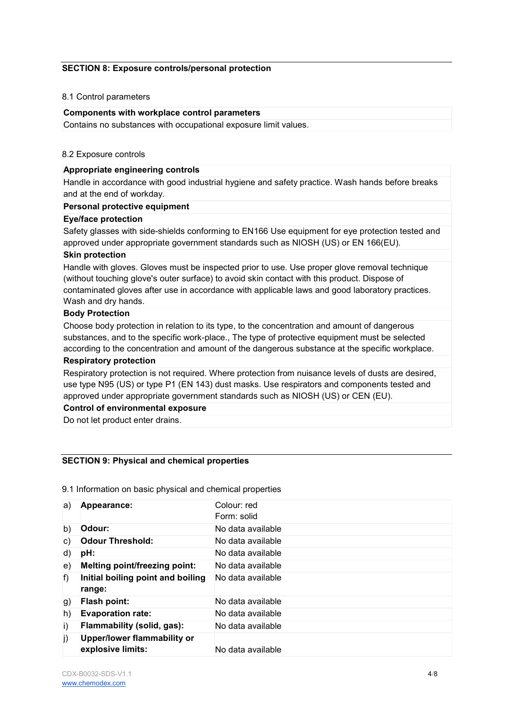## SECTION 8: Exposure controls/personal protection

#### 8.1 Control parameters

#### Components with workplace control parameters

Contains no substances with occupational exposure limit values.

#### 8.2 Exposure controls

# Appropriate engineering controls

Handle in accordance with good industrial hygiene and safety practice. Wash hands before breaks and at the end of workday.

#### Personal protective equipment

#### Eye/face protection

Safety glasses with side-shields conforming to EN166 Use equipment for eye protection tested and approved under appropriate government standards such as NIOSH (US) or EN 166(EU).

## Skin protection

Handle with gloves. Gloves must be inspected prior to use. Use proper glove removal technique (without touching glove's outer surface) to avoid skin contact with this product. Dispose of contaminated gloves after use in accordance with applicable laws and good laboratory practices. Wash and dry hands.

#### Body Protection

Choose body protection in relation to its type, to the concentration and amount of dangerous substances, and to the specific work-place., The type of protective equipment must be selected according to the concentration and amount of the dangerous substance at the specific workplace.

#### Respiratory protection

Respiratory protection is not required. Where protection from nuisance levels of dusts are desired, use type N95 (US) or type P1 (EN 143) dust masks. Use respirators and components tested and approved under appropriate government standards such as NIOSH (US) or CEN (EU).

## Control of environmental exposure

Do not let product enter drains.

# SECTION 9: Physical and chemical properties

9.1 Information on basic physical and chemical properties

| a) | Appearance:                                             | Colour: red<br>Form: solid |
|----|---------------------------------------------------------|----------------------------|
| b) | Odour:                                                  | No data available          |
| C) | <b>Odour Threshold:</b>                                 | No data available          |
| d) | pH:                                                     | No data available          |
| e) | Melting point/freezing point:                           | No data available          |
| f) | Initial boiling point and boiling<br>range:             | No data available          |
| g) | Flash point:                                            | No data available          |
| h) | <b>Evaporation rate:</b>                                | No data available          |
| i) | Flammability (solid, gas):                              | No data available          |
| j) | <b>Upper/lower flammability or</b><br>explosive limits: | No data available          |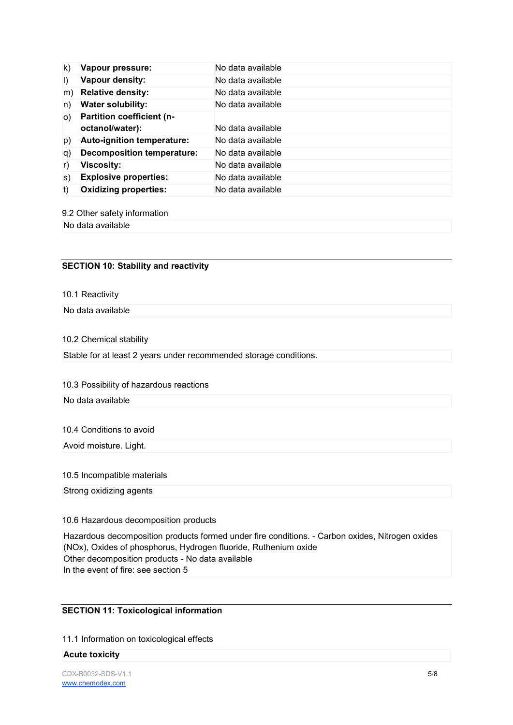| $\mathsf{k}$ | Vapour pressure:                  | No data available |
|--------------|-----------------------------------|-------------------|
| $\vert$      | Vapour density:                   | No data available |
| m)           | <b>Relative density:</b>          | No data available |
| n)           | <b>Water solubility:</b>          | No data available |
| O()          | Partition coefficient (n-         |                   |
|              | octanol/water):                   | No data available |
| p)           | Auto-ignition temperature:        | No data available |
| q)           | <b>Decomposition temperature:</b> | No data available |
| r)           | <b>Viscosity:</b>                 | No data available |
| S)           | <b>Explosive properties:</b>      | No data available |
| t)           | <b>Oxidizing properties:</b>      | No data available |

9.2 Other safety information

No data available

# SECTION 10: Stability and reactivity

10.1 Reactivity

No data available

#### 10.2 Chemical stability

Stable for at least 2 years under recommended storage conditions.

#### 10.3 Possibility of hazardous reactions

No data available

#### 10.4 Conditions to avoid

Avoid moisture. Light.

## 10.5 Incompatible materials

Strong oxidizing agents

# 10.6 Hazardous decomposition products

Hazardous decomposition products formed under fire conditions. - Carbon oxides, Nitrogen oxides (NOx), Oxides of phosphorus, Hydrogen fluoride, Ruthenium oxide Other decomposition products - No data available In the event of fire: see section 5

# SECTION 11: Toxicological information

11.1 Information on toxicological effects

#### Acute toxicity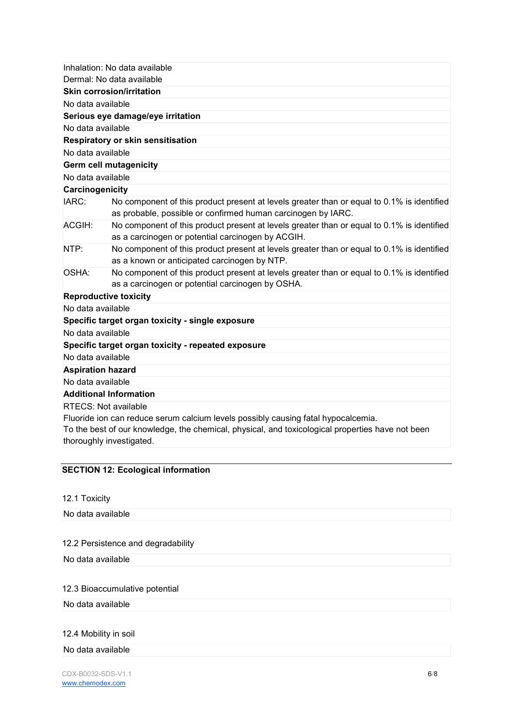|                               | Inhalation: No data available<br>Dermal: No data available                                                                                                                            |
|-------------------------------|---------------------------------------------------------------------------------------------------------------------------------------------------------------------------------------|
|                               | Skin corrosion/irritation                                                                                                                                                             |
| No data available             |                                                                                                                                                                                       |
|                               | Serious eye damage/eye irritation                                                                                                                                                     |
| No data available             |                                                                                                                                                                                       |
|                               | Respiratory or skin sensitisation                                                                                                                                                     |
| No data available             |                                                                                                                                                                                       |
|                               | <b>Germ cell mutagenicity</b>                                                                                                                                                         |
| No data available             |                                                                                                                                                                                       |
| Carcinogenicity               |                                                                                                                                                                                       |
| IARC:                         | No component of this product present at levels greater than or equal to 0.1% is identified<br>as probable, possible or confirmed human carcinogen by IARC.                            |
| ACGIH:                        | No component of this product present at levels greater than or equal to 0.1% is identified<br>as a carcinogen or potential carcinogen by ACGIH.                                       |
| NTP:                          | No component of this product present at levels greater than or equal to 0.1% is identified<br>as a known or anticipated carcinogen by NTP.                                            |
| OSHA:                         | No component of this product present at levels greater than or equal to 0.1% is identified<br>as a carcinogen or potential carcinogen by OSHA.                                        |
| <b>Reproductive toxicity</b>  |                                                                                                                                                                                       |
| No data available             |                                                                                                                                                                                       |
|                               | Specific target organ toxicity - single exposure                                                                                                                                      |
| No data available             |                                                                                                                                                                                       |
|                               | Specific target organ toxicity - repeated exposure                                                                                                                                    |
| No data available             |                                                                                                                                                                                       |
| <b>Aspiration hazard</b>      |                                                                                                                                                                                       |
| No data available             |                                                                                                                                                                                       |
| <b>Additional Information</b> |                                                                                                                                                                                       |
| <b>RTECS: Not available</b>   |                                                                                                                                                                                       |
| thoroughly investigated.      | Fluoride ion can reduce serum calcium levels possibly causing fatal hypocalcemia.<br>To the best of our knowledge, the chemical, physical, and toxicological properties have not been |
|                               |                                                                                                                                                                                       |

# SECTION 12: Ecological information

12.1 Toxicity

No data available

# 12.2 Persistence and degradability

No data available

# 12.3 Bioaccumulative potential

No data available

# 12.4 Mobility in soil

No data available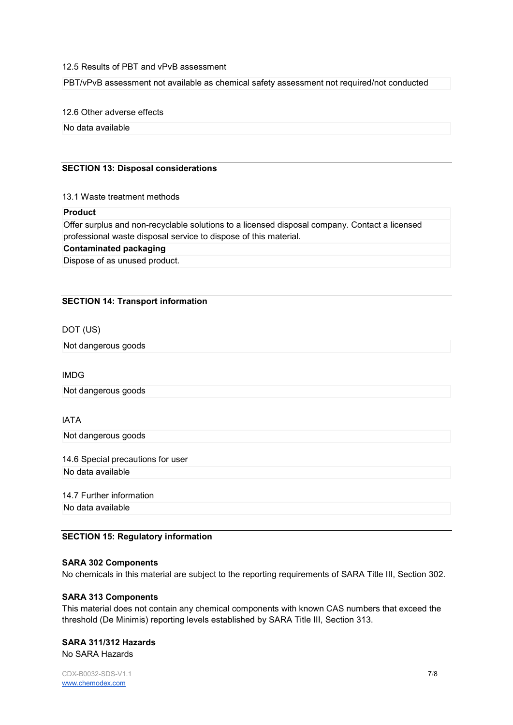#### 12.5 Results of PBT and vPvB assessment

PBT/vPvB assessment not available as chemical safety assessment not required/not conducted

12.6 Other adverse effects

No data available

# SECTION 13: Disposal considerations

#### 13.1 Waste treatment methods

#### Product

Offer surplus and non-recyclable solutions to a licensed disposal company. Contact a licensed professional waste disposal service to dispose of this material.

# Contaminated packaging

Dispose of as unused product.

# SECTION 14: Transport information

DOT (US)

Not dangerous goods

IMDG

Not dangerous goods

# IATA

Not dangerous goods

14.6 Special precautions for user No data available

14.7 Further information No data available

SECTION 15: Regulatory information

# SARA 302 Components

No chemicals in this material are subject to the reporting requirements of SARA Title III, Section 302.

# SARA 313 Components

This material does not contain any chemical components with known CAS numbers that exceed the threshold (De Minimis) reporting levels established by SARA Title III, Section 313.

# SARA 311/312 Hazards

No SARA Hazards

CDX-B0032-SDS-V1.1 7/8 www.chemodex.com